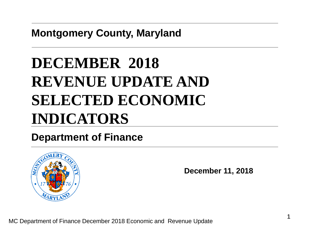**Montgomery County, Maryland**

# **DECEMBER 2018 REVENUE UPDATE AND SELECTED ECONOMIC INDICATORS**

### **Department of Finance**



**December 11, 2018**

MC Department of Finance December 2018 Economic and Revenue Update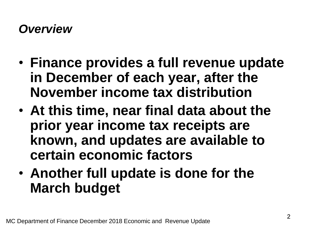### *Overview*

- **Finance provides a full revenue update in December of each year, after the November income tax distribution**
- **At this time, near final data about the prior year income tax receipts are known, and updates are available to certain economic factors**
- **Another full update is done for the March budget**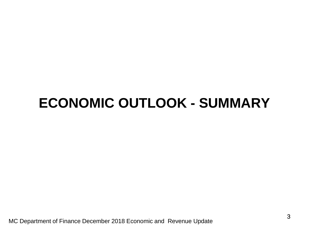# **ECONOMIC OUTLOOK - SUMMARY**

MC Department of Finance December 2018 Economic and Revenue Update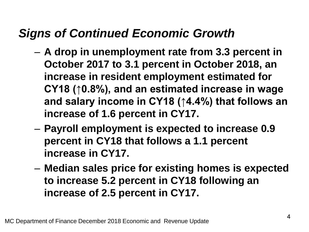### *Signs of Continued Economic Growth*

- **A drop in unemployment rate from 3.3 percent in October 2017 to 3.1 percent in October 2018, an increase in resident employment estimated for CY18 (↑0.8%), and an estimated increase in wage and salary income in CY18 (↑4.4%) that follows an increase of 1.6 percent in CY17.**
- **Payroll employment is expected to increase 0.9 percent in CY18 that follows a 1.1 percent increase in CY17.**
- **Median sales price for existing homes is expected to increase 5.2 percent in CY18 following an increase of 2.5 percent in CY17.**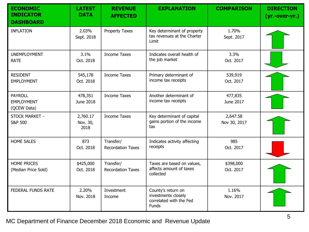| <b>ECONOMIC</b><br><b>INDICATOR</b><br><b>DASHBOARD</b> | <b>LATEST</b><br><b>DATA</b> | <b>REVENUE</b><br><b>AFFECTED</b>     | <b>EXPLANATION</b>                                                                   | <b>COMPARISON</b>        | <b>DIRECTION</b><br>(yr.-over-yr.) |
|---------------------------------------------------------|------------------------------|---------------------------------------|--------------------------------------------------------------------------------------|--------------------------|------------------------------------|
| <b>INFLATION</b>                                        | 2.03%<br>Sept. 2018          | <b>Property Taxes</b>                 | Key determinant of property<br>tax revenues at the Charter<br>Limit                  | 1.70%<br>Sept. 2017      |                                    |
| <b>UNEMPLOYMENT</b><br><b>RATE</b>                      | 3.1%<br>Oct. 2018            | <b>Income Taxes</b>                   | Indicates overall health of<br>the job market                                        | 3.3%<br>Oct. 2017        |                                    |
| <b>RESIDENT</b><br><b>EMPLOYMENT</b>                    | 545,178<br>Oct. 2018         | <b>Income Taxes</b>                   | Primary determinant of<br>income tax receipts                                        | 539,919<br>Oct. 2017     |                                    |
| <b>PAYROLL</b><br><b>EMPLOYMENT</b><br>(QCEW Data)      | 478,351<br>June 2018         | <b>Income Taxes</b>                   | Another determinant of<br>income tax receipts                                        | 477,835<br>June 2017     |                                    |
| STOCK MARKET -<br><b>S&amp;P 500</b>                    | 2,760.17<br>Nov. 30,<br>2018 | <b>Income Taxes</b>                   | Key determinant of capital<br>gains portion of the income<br>tax                     | 2,647.58<br>Nov 30, 2017 |                                    |
| <b>HOME SALES</b>                                       | 873<br>Oct. 2018             | Transfer/<br><b>Recordation Taxes</b> | Indicates activity affecting<br>receipts                                             | 985<br>Oct. 2017         |                                    |
| <b>HOME PRICES</b><br>(Median Price Sold)               | \$425,000<br>Oct. 2018       | Transfer/<br><b>Recordation Taxes</b> | Taxes are based on values,<br>affects amount of taxes<br>collected                   | \$398,000<br>Oct. 2017   |                                    |
| <b>FEDERAL FUNDS RATE</b>                               | 2.20%<br>Nov. 2018           | Investment<br>Income                  | County's return on<br>investments closely<br>correlated with the Fed<br><b>Funds</b> | 1.16%<br>Nov. 2017       |                                    |

MC Department of Finance December 2018 Economic and Revenue Update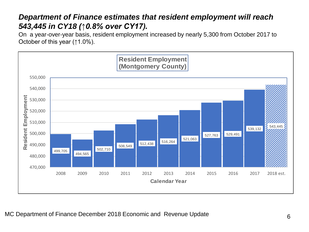#### *Department of Finance estimates that resident employment will reach 543,445 in CY18 (↑0.8% over CY17).*

On a year-over-year basis, resident employment increased by nearly 5,300 from October 2017 to October of this year (↑1.0%).

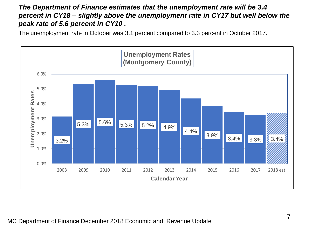#### *The Department of Finance estimates that the unemployment rate will be 3.4 percent in CY18 – slightly above the unemployment rate in CY17 but well below the peak rate of 5.6 percent in CY10 .*

The unemployment rate in October was 3.1 percent compared to 3.3 percent in October 2017.

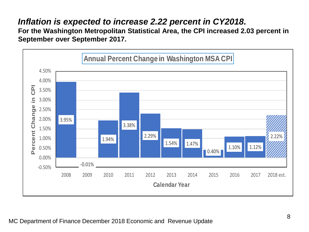### *Inflation is expected to increase 2.22 percent in CY2018.*

**For the Washington Metropolitan Statistical Area, the CPI increased 2.03 percent in September over September 2017.** 

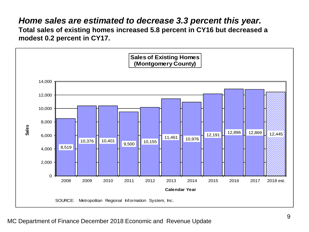#### *Home sales are estimated to decrease 3.3 percent this year.*

**Total sales of existing homes increased 5.8 percent in CY16 but decreased a modest 0.2 percent in CY17.** 

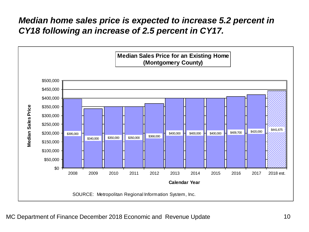### *Median home sales price is expected to increase 5.2 percent in CY18 following an increase of 2.5 percent in CY17.*

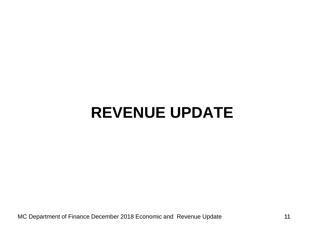# **REVENUE UPDATE**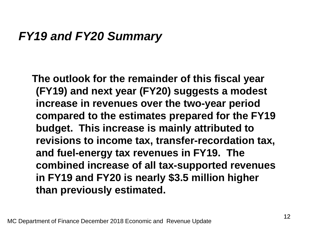### *FY19 and FY20 Summary*

**The outlook for the remainder of this fiscal year (FY19) and next year (FY20) suggests a modest increase in revenues over the two-year period compared to the estimates prepared for the FY19 budget. This increase is mainly attributed to revisions to income tax, transfer-recordation tax, and fuel-energy tax revenues in FY19. The combined increase of all tax-supported revenues in FY19 and FY20 is nearly \$3.5 million higher than previously estimated.**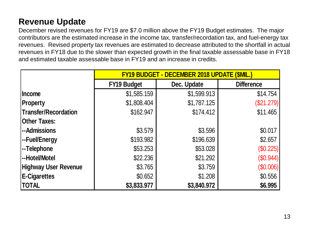### **Revenue Update**

December revised revenues for FY19 are \$7.0 million above the FY19 Budget estimates. The major contributors are the estimated increase in the income tax, transfer/recordation tax, and fuel-energy tax revenues. Revised property tax revenues are estimated to decrease attributed to the shortfall in actual revenues in FY18 due to the slower than expected growth in the final taxable assessable base in FY18 and estimated taxable assessable base in FY19 and an increase in credits.

|                             | <b>FY19 BUDGET - DECEMBER 2018 UPDATE (\$MIL.)</b> |             |                   |  |  |
|-----------------------------|----------------------------------------------------|-------------|-------------------|--|--|
|                             | <b>FY19 Budget</b>                                 | Dec. Update | <b>Difference</b> |  |  |
| <b>Income</b>               | \$1,585.159                                        | \$1,599.913 | \$14.754          |  |  |
| <b>Property</b>             | \$1,808.404                                        | \$1,787.125 | (\$21.279)        |  |  |
| <b>Transfer/Recordation</b> | \$162.947                                          | \$174.412   | \$11.465          |  |  |
| <b>Other Taxes:</b>         |                                                    |             |                   |  |  |
| --Admissions                | \$3.579                                            | \$3.596     | \$0.017           |  |  |
| --Fuel/Energy               | \$193.982                                          | \$196.639   | \$2.657           |  |  |
| --Telephone                 | \$53.253                                           | \$53.028    | (\$0.225)         |  |  |
| --Hotel/Motel               | \$22.236                                           | \$21.292    | $(\$0.944)$       |  |  |
| <b>Highway User Revenue</b> | \$3.765                                            | \$3.759     | $(\$0.006)$       |  |  |
| <b>E-Cigarettes</b>         | \$0.652                                            | \$1.208     | \$0.556           |  |  |
| <b>TOTAL</b>                | \$3,833.977                                        | \$3,840.972 | \$6.995           |  |  |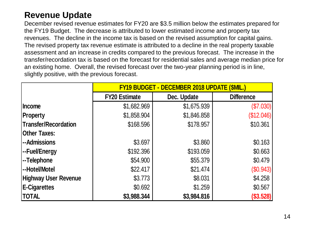#### **Revenue Update**

December revised revenue estimates for FY20 are \$3.5 million below the estimates prepared for the FY19 Budget. The decrease is attributed to lower estimated income and property tax revenues. The decline in the income tax is based on the revised assumption for capital gains. The revised property tax revenue estimate is attributed to a decline in the real property taxable assessment and an increase in credits compared to the previous forecast. The increase in the transfer/recordation tax is based on the forecast for residential sales and average median price for an existing home. Overall, the revised forecast over the two-year planning period is in line, slightly positive, with the previous forecast.

|                             | <b>FY19 BUDGET - DECEMBER 2018 UPDATE (\$MIL.)</b> |             |                   |  |  |
|-----------------------------|----------------------------------------------------|-------------|-------------------|--|--|
|                             | <b>FY20 Estimate</b>                               | Dec. Update | <b>Difference</b> |  |  |
| Income                      | \$1,682.969                                        | \$1,675.939 | (\$7.030)         |  |  |
| Property                    | \$1,858.904                                        | \$1,846.858 | (\$12.046)        |  |  |
| Transfer/Recordation        | \$168.596                                          | \$178.957   | \$10.361          |  |  |
| <b>Other Taxes:</b>         |                                                    |             |                   |  |  |
| --Admissions                | \$3.697                                            | \$3.860     | \$0.163           |  |  |
| --Fuel/Energy               | \$192.396                                          | \$193.059   | \$0.663           |  |  |
| --Telephone                 | \$54.900                                           | \$55.379    | \$0.479           |  |  |
| --Hotel/Motel               | \$22.417                                           | \$21.474    | (\$0.943)         |  |  |
| <b>Highway User Revenue</b> | \$3.773                                            | \$8.031     | \$4.258           |  |  |
| <b>E-Cigarettes</b>         | \$0.692                                            | \$1.259     | \$0.567           |  |  |
| <b>TOTAL</b>                | \$3,988.344                                        | \$3,984.816 | (\$3.528)         |  |  |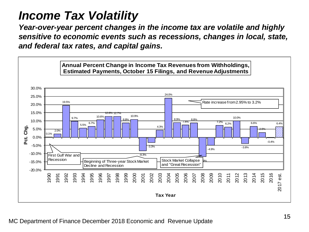### *Income Tax Volatility*

*Year-over-year percent changes in the income tax are volatile and highly sensitive to economic events such as recessions, changes in local, state, and federal tax rates, and capital gains.*

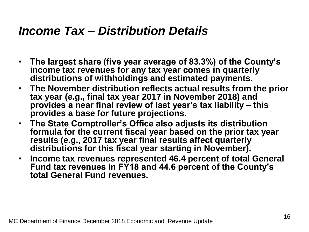### *Income Tax – Distribution Details*

- **The largest share (five year average of 83.3%) of the County's income tax revenues for any tax year comes in quarterly distributions of withholdings and estimated payments.**
- **The November distribution reflects actual results from the prior tax year (e.g., final tax year 2017 in November 2018) and provides a near final review of last year's tax liability – this provides a base for future projections.**
- **The State Comptroller's Office also adjusts its distribution formula for the current fiscal year based on the prior tax year results (e.g., 2017 tax year final results affect quarterly distributions for this fiscal year starting in November).**
- **Income tax revenues represented 46.4 percent of total General Fund tax revenues in FY18 and 44.6 percent of the County's total General Fund revenues.**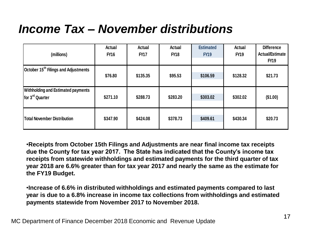## *Income Tax – November distributions*

| Actual<br><b>FY16</b>                                                                                                                                                                                                                                                                                                                                                                                                                                                                   | Actual<br><b>FY17</b>                                   | Actual<br><b>FY18</b> | <b>Estimated</b><br><b>FY19</b> | Actual<br><b>FY19</b> | <b>Difference</b><br><b>Actual/Estimate</b><br><b>FY19</b>                               |  |  |
|-----------------------------------------------------------------------------------------------------------------------------------------------------------------------------------------------------------------------------------------------------------------------------------------------------------------------------------------------------------------------------------------------------------------------------------------------------------------------------------------|---------------------------------------------------------|-----------------------|---------------------------------|-----------------------|------------------------------------------------------------------------------------------|--|--|
| \$76.80                                                                                                                                                                                                                                                                                                                                                                                                                                                                                 | \$135.35                                                | \$95.53               | \$106.59                        | \$128.32              | \$21.73                                                                                  |  |  |
| \$271.10                                                                                                                                                                                                                                                                                                                                                                                                                                                                                | \$288.73                                                | \$283.20              | \$303.02                        | \$302.02              | (\$1.00)                                                                                 |  |  |
| \$347.90                                                                                                                                                                                                                                                                                                                                                                                                                                                                                | \$424.08                                                | \$378.73              | \$409.61                        | \$430.34              | \$20.73                                                                                  |  |  |
| •Receipts from October 15th Filings and Adjustments are near final income tax receipts<br>due the County for tax year 2017. The State has indicated that the County's income tax<br>receipts from statewide withholdings and estimated payments for the third quarter of tax<br>year 2018 are 6.6% greater than for tax year 2017 and nearly the same as the estimate for<br>the FY19 Budget.<br>. Increase of 6.6% in distributed withholdings and estimated payments compared to last |                                                         |                       |                                 |                       |                                                                                          |  |  |
|                                                                                                                                                                                                                                                                                                                                                                                                                                                                                         | payments statewide from November 2017 to November 2018. |                       |                                 |                       | year is due to a 6.8% increase in income tax collections from withholdings and estimated |  |  |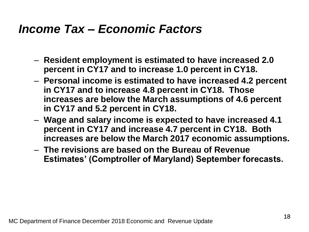### *Income Tax – Economic Factors*

- **Resident employment is estimated to have increased 2.0 percent in CY17 and to increase 1.0 percent in CY18.**
- **Personal income is estimated to have increased 4.2 percent in CY17 and to increase 4.8 percent in CY18. Those increases are below the March assumptions of 4.6 percent in CY17 and 5.2 percent in CY18.**
- **Wage and salary income is expected to have increased 4.1 percent in CY17 and increase 4.7 percent in CY18. Both increases are below the March 2017 economic assumptions.**
- **The revisions are based on the Bureau of Revenue Estimates' (Comptroller of Maryland) September forecasts.**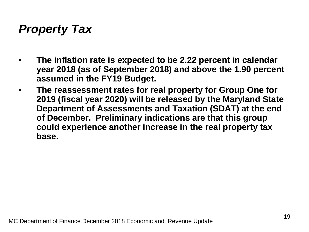### *Property Tax*

- **The inflation rate is expected to be 2.22 percent in calendar year 2018 (as of September 2018) and above the 1.90 percent assumed in the FY19 Budget.**
- **The reassessment rates for real property for Group One for 2019 (fiscal year 2020) will be released by the Maryland State Department of Assessments and Taxation (SDAT) at the end of December. Preliminary indications are that this group could experience another increase in the real property tax base.**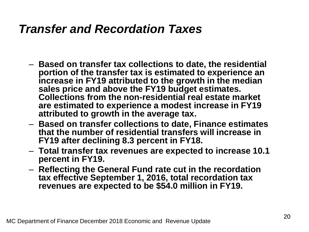### *Transfer and Recordation Taxes*

- **Based on transfer tax collections to date, the residential portion of the transfer tax is estimated to experience an increase in FY19 attributed to the growth in the median sales price and above the FY19 budget estimates. Collections from the non-residential real estate market are estimated to experience a modest increase in FY19 attributed to growth in the average tax.**
- **Based on transfer collections to date, Finance estimates that the number of residential transfers will increase in FY19 after declining 8.3 percent in FY18.**
- **Total transfer tax revenues are expected to increase 10.1 percent in FY19.**
- **Reflecting the General Fund rate cut in the recordation tax effective September 1, 2016, total recordation tax revenues are expected to be \$54.0 million in FY19.**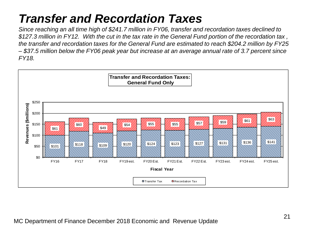## *Transfer and Recordation Taxes*

*Since reaching an all time high of \$241.7 million in FY06, transfer and recordation taxes declined to \$127.3 million in FY12. With the cut in the tax rate in the General Fund portion of the recordation tax , the transfer and recordation taxes for the General Fund are estimated to reach \$204.2 million by FY25 – \$37.5 million below the FY06 peak year but increase at an average annual rate of 3.7 percent since FY18.*

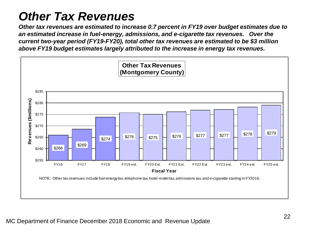## *Other Tax Revenues*

*Other tax revenues are estimated to increase 0.7 percent in FY19 over budget estimates due to an estimated increase in fuel-energy, admissions, and e-cigarette tax revenues. Over the current two-year period (FY19-FY20), total other tax revenues are estimated to be \$3 million above FY19 budget estimates largely attributed to the increase in energy tax revenues.*